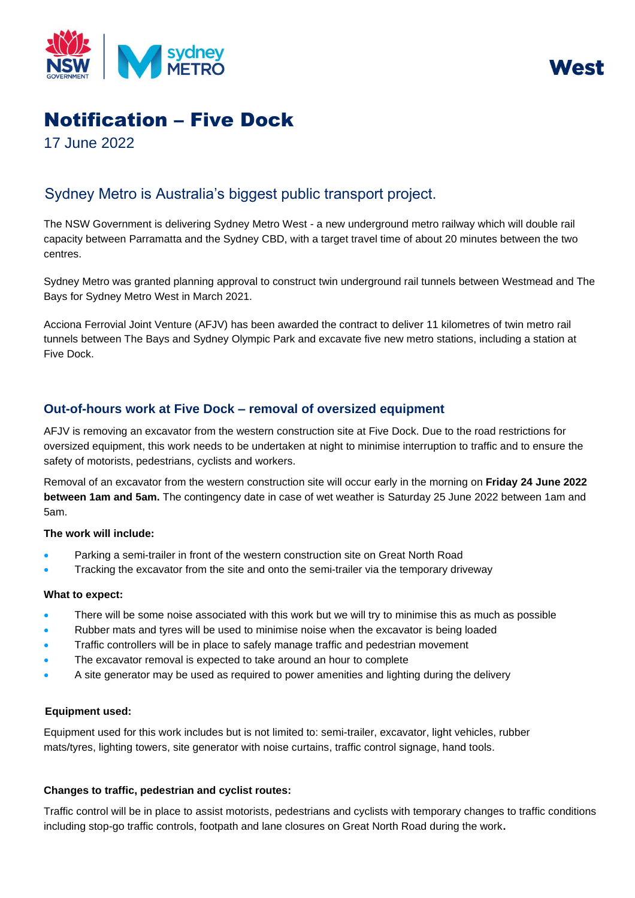

WASI

# Notification – Five Dock

17 June 2022

## Sydney Metro is Australia's biggest public transport project.

The NSW Government is delivering Sydney Metro West - a new underground metro railway which will double rail capacity between Parramatta and the Sydney CBD, with a target travel time of about 20 minutes between the two centres.

Sydney Metro was granted planning approval to construct twin underground rail tunnels between Westmead and The Bays for Sydney Metro West in March 2021.

Acciona Ferrovial Joint Venture (AFJV) has been awarded the contract to deliver 11 kilometres of twin metro rail tunnels between The Bays and Sydney Olympic Park and excavate five new metro stations, including a station at Five Dock.

### **Out-of-hours work at Five Dock – removal of oversized equipment**

AFJV is removing an excavator from the western construction site at Five Dock. Due to the road restrictions for oversized equipment, this work needs to be undertaken at night to minimise interruption to traffic and to ensure the safety of motorists, pedestrians, cyclists and workers.

Removal of an excavator from the western construction site will occur early in the morning on **Friday 24 June 2022 between 1am and 5am.** The contingency date in case of wet weather is Saturday 25 June 2022 between 1am and 5am.

#### **The work will include:**

- Parking a semi-trailer in front of the western construction site on Great North Road
- Tracking the excavator from the site and onto the semi-trailer via the temporary driveway

#### **What to expect:**

- There will be some noise associated with this work but we will try to minimise this as much as possible
- Rubber mats and tyres will be used to minimise noise when the excavator is being loaded
- Traffic controllers will be in place to safely manage traffic and pedestrian movement
- The excavator removal is expected to take around an hour to complete
- A site generator may be used as required to power amenities and lighting during the delivery

#### **Equipment used:**

Equipment used for this work includes but is not limited to: semi-trailer, excavator, light vehicles, rubber mats/tyres, lighting towers, site generator with noise curtains, traffic control signage, hand tools.

#### **Changes to traffic, pedestrian and cyclist routes:**

Traffic control will be in place to assist motorists, pedestrians and cyclists with temporary changes to traffic conditions including stop-go traffic controls, footpath and lane closures on Great North Road during the work**.**